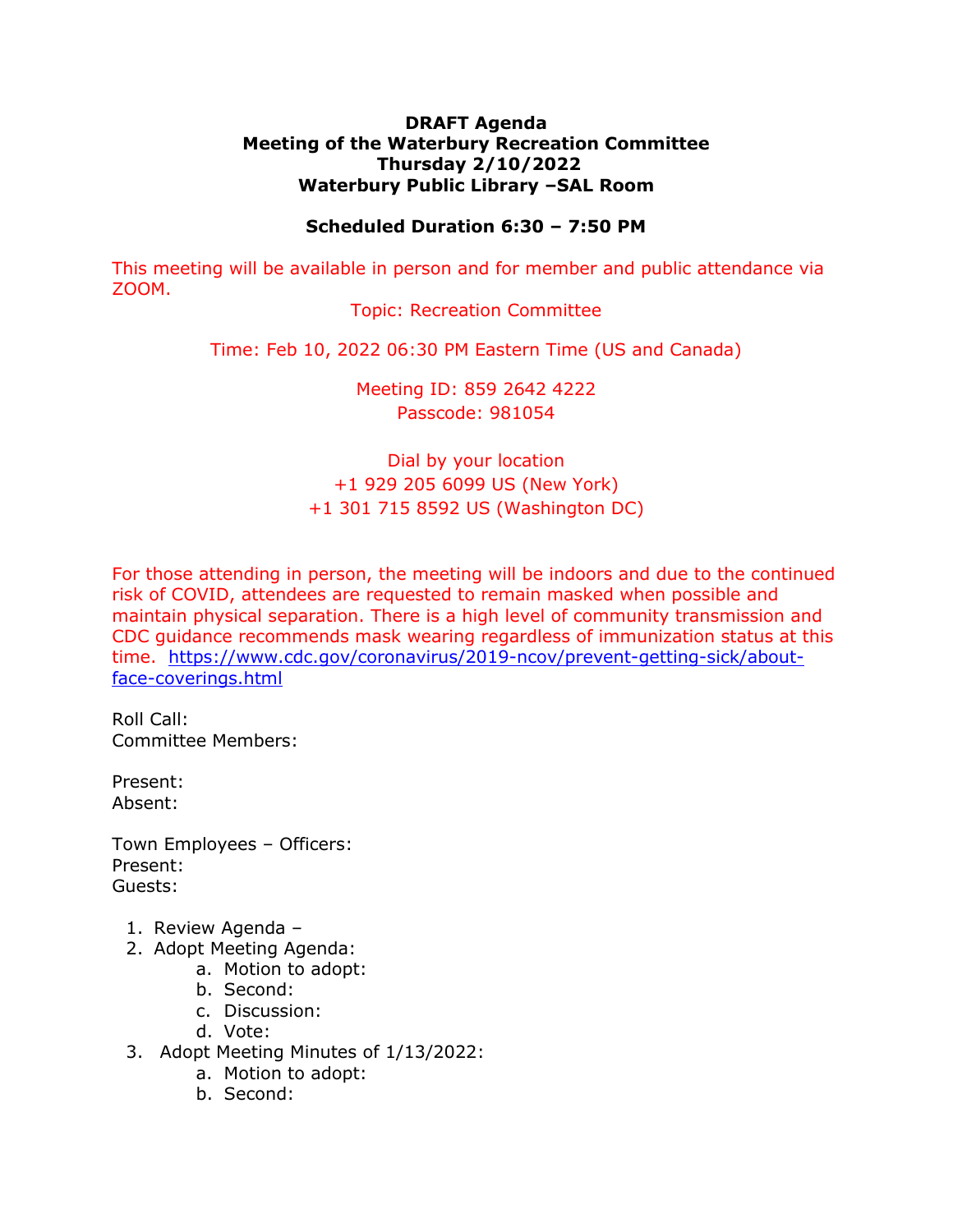## **DRAFT Agenda Meeting of the Waterbury Recreation Committee Thursday 2/10/2022 Waterbury Public Library –SAL Room**

## **Scheduled Duration 6:30 – 7:50 PM**

This meeting will be available in person and for member and public attendance via ZOOM.

Topic: Recreation Committee

Time: Feb 10, 2022 06:30 PM Eastern Time (US and Canada)

Meeting ID: 859 2642 4222 Passcode: 981054

Dial by your location +1 929 205 6099 US (New York) +1 301 715 8592 US (Washington DC)

For those attending in person, the meeting will be indoors and due to the continued risk of COVID, attendees are requested to remain masked when possible and maintain physical separation. There is a high level of community transmission and CDC guidance recommends mask wearing regardless of immunization status at this time. [https://www.cdc.gov/coronavirus/2019-ncov/prevent-getting-sick/about](https://www.cdc.gov/coronavirus/2019-ncov/prevent-getting-sick/about-face-coverings.html)[face-coverings.html](https://www.cdc.gov/coronavirus/2019-ncov/prevent-getting-sick/about-face-coverings.html)

Roll Call: Committee Members:

Present: Absent:

Town Employees – Officers: Present: Guests:

- 1. Review Agenda –
- 2. Adopt Meeting Agenda:
	- a. Motion to adopt:
		- b. Second:
		- c. Discussion:
		- d. Vote:
- 3. Adopt Meeting Minutes of 1/13/2022:
	- a. Motion to adopt:
	- b. Second: